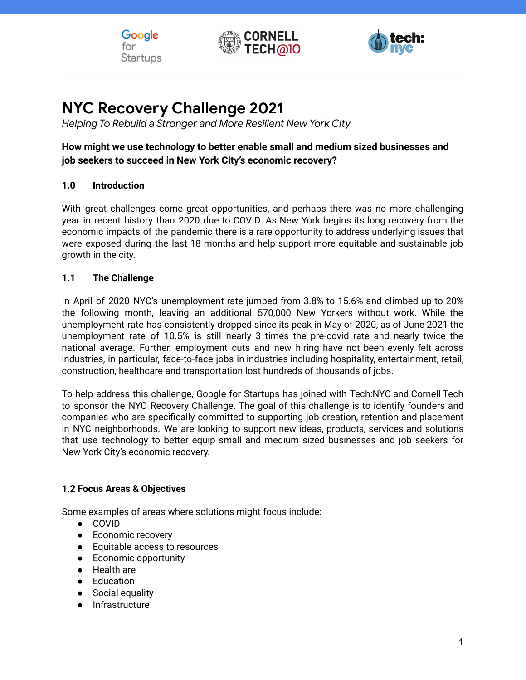





# **NYC Recovery Challenge 2021**

*Helping To Rebuild a Stronger and More Resilient New York City*

# **How might we use technology to better enable small and medium sized businesses and job seekers to succeed in New York City's economic recovery?**

#### **1.0 Introduction**

With great challenges come great opportunities, and perhaps there was no more challenging year in recent history than 2020 due to COVID. As New York begins its long recovery from the economic impacts of the pandemic there is a rare opportunity to address underlying issues that were exposed during the last 18 months and help support more equitable and sustainable job growth in the city.

#### **1.1 The Challenge**

In April of 2020 NYC's unemployment rate jumped from 3.8% to 15.6% and climbed up to 20% the following month, leaving an additional 570,000 New Yorkers without work. While the unemployment rate has consistently dropped since its peak in May of 2020, as of June 2021 the unemployment rate of 10.5% is still nearly 3 times the pre-covid rate and nearly twice the national average. Further, employment cuts and new hiring have not been evenly felt across industries, in particular, face-to-face jobs in industries including hospitality, entertainment, retail, construction, healthcare and transportation lost hundreds of thousands of jobs.

To help address this challenge, Google for Startups has joined with Tech:NYC and Cornell Tech to sponsor the NYC Recovery Challenge. The goal of this challenge is to identify founders and companies who are specifically committed to supporting job creation, retention and placement in NYC neighborhoods. We are looking to support new ideas, products, services and solutions that use technology to better equip small and medium sized businesses and job seekers for New York City's economic recovery.

#### **1.2 Focus Areas & Objectives**

Some examples of areas where solutions might focus include:

- COVID
- Economic recovery
- Equitable access to resources
- Economic opportunity
- Health are
- Education
- Social equality
- Infrastructure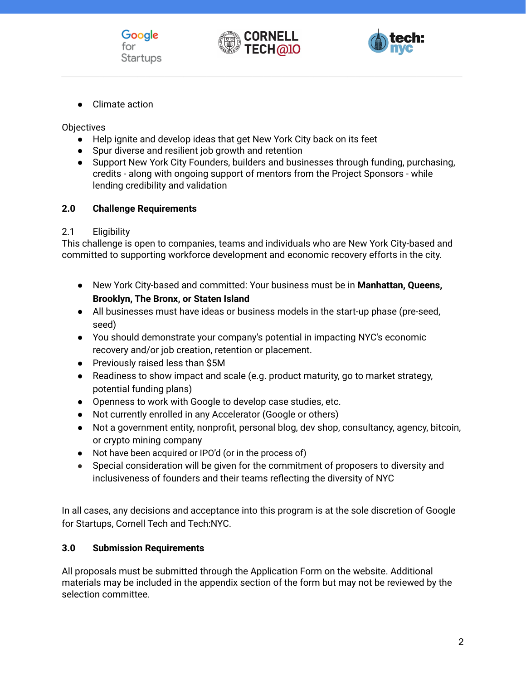





● Climate action

**Objectives** 

- Help ignite and develop ideas that get New York City back on its feet
- Spur diverse and resilient job growth and retention
- Support New York City Founders, builders and businesses through funding, purchasing, credits - along with ongoing support of mentors from the Project Sponsors - while lending credibility and validation

#### **2.0 Challenge Requirements**

#### 2.1 Eligibility

This challenge is open to companies, teams and individuals who are New York City-based and committed to supporting workforce development and economic recovery efforts in the city.

- New York City-based and committed: Your business must be in **Manhattan, Queens, Brooklyn, The Bronx, or Staten Island**
- All businesses must have ideas or business models in the start-up phase (pre-seed, seed)
- You should demonstrate your company's potential in impacting NYC's economic recovery and/or job creation, retention or placement.
- Previously raised less than \$5M
- Readiness to show impact and scale (e.g. product maturity, go to market strategy, potential funding plans)
- Openness to work with Google to develop case studies, etc.
- Not currently enrolled in any Accelerator (Google or others)
- Not a government entity, nonprofit, personal blog, dev shop, consultancy, agency, bitcoin, or crypto mining company
- Not have been acquired or IPO'd (or in the process of)
- Special consideration will be given for the commitment of proposers to diversity and inclusiveness of founders and their teams reflecting the diversity of NYC

In all cases, any decisions and acceptance into this program is at the sole discretion of Google for Startups, Cornell Tech and Tech:NYC.

# **3.0 Submission Requirements**

All proposals must be submitted through the Application Form on the website. Additional materials may be included in the appendix section of the form but may not be reviewed by the selection committee.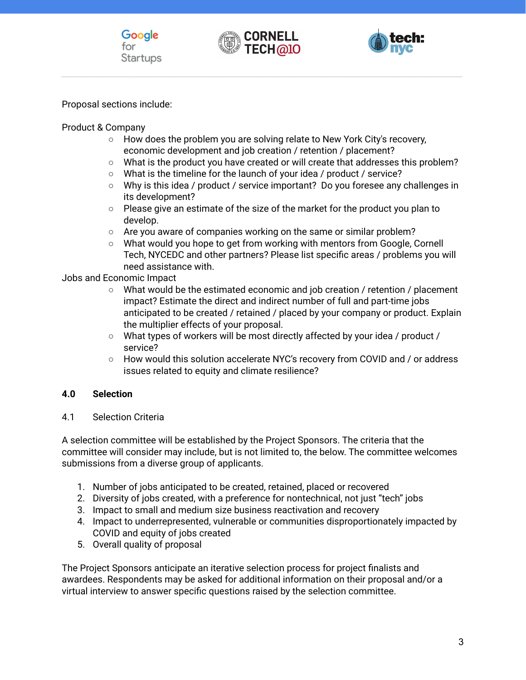



Proposal sections include:

Product & Company

- How does the problem you are solving relate to New York City's recovery, economic development and job creation / retention / placement?
- What is the product you have created or will create that addresses this problem?
- What is the timeline for the launch of your idea / product / service?
- Why is this idea / product / service important? Do you foresee any challenges in its development?
- Please give an estimate of the size of the market for the product you plan to develop.
- Are you aware of companies working on the same or similar problem?
- What would you hope to get from working with mentors from Google, Cornell Tech, NYCEDC and other partners? Please list specific areas / problems you will need assistance with.

Jobs and Economic Impact

- What would be the estimated economic and job creation / retention / placement impact? Estimate the direct and indirect number of full and part-time jobs anticipated to be created / retained / placed by your company or product. Explain the multiplier effects of your proposal.
- What types of workers will be most directly affected by your idea / product / service?
- How would this solution accelerate NYC's recovery from COVID and / or address issues related to equity and climate resilience?

# **4.0 Selection**

4.1 Selection Criteria

A selection committee will be established by the Project Sponsors. The criteria that the committee will consider may include, but is not limited to, the below. The committee welcomes submissions from a diverse group of applicants.

- 1. Number of jobs anticipated to be created, retained, placed or recovered
- 2. Diversity of jobs created, with a preference for nontechnical, not just "tech" jobs
- 3. Impact to small and medium size business reactivation and recovery
- 4. Impact to underrepresented, vulnerable or communities disproportionately impacted by COVID and equity of jobs created
- 5. Overall quality of proposal

The Project Sponsors anticipate an iterative selection process for project finalists and awardees. Respondents may be asked for additional information on their proposal and/or a virtual interview to answer specific questions raised by the selection committee.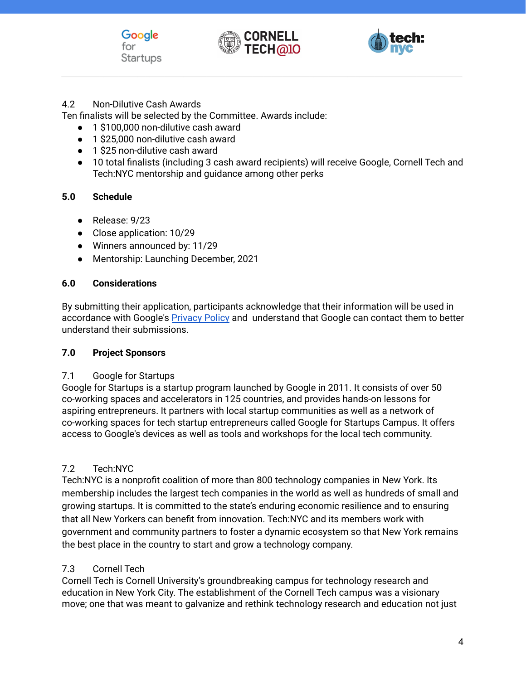





#### 4.2 Non-Dilutive Cash Awards

Ten finalists will be selected by the Committee. Awards include:

- 1 \$100,000 non-dilutive cash award
- 1 \$25,000 non-dilutive cash award
- 1 \$25 non-dilutive cash award
- 10 total finalists (including 3 cash award recipients) will receive Google, Cornell Tech and Tech:NYC mentorship and guidance among other perks

# **5.0 Schedule**

- Release: 9/23
- Close application: 10/29
- Winners announced by: 11/29
- Mentorship: Launching December, 2021

#### **6.0 Considerations**

By submitting their application, participants acknowledge that their information will be used in accordance with Google's [Privacy](https://www.google.com/intl/en/policies/) Policy and understand that Google can contact them to better understand their submissions.

#### **7.0 Project Sponsors**

#### 7.1 Google for Startups

Google for Startups is a startup program launched by Google in 2011. It consists of over 50 co-working spaces and accelerators in 125 countries, and provides hands-on lessons for aspiring entrepreneurs. It partners with local startup communities as well as a network of co-working spaces for tech startup entrepreneurs called Google for Startups Campus. It offers access to Google's devices as well as tools and workshops for the local tech community.

# 7.2 Tech:NYC

Tech:NYC is a nonprofit coalition of more than 800 technology companies in New York. Its membership includes the largest tech companies in the world as well as hundreds of small and growing startups. It is committed to the state's enduring economic resilience and to ensuring that all New Yorkers can benefit from innovation. Tech:NYC and its members work with government and community partners to foster a dynamic ecosystem so that New York remains the best place in the country to start and grow a technology company.

# 7.3 Cornell Tech

Cornell Tech is Cornell University's groundbreaking campus for technology research and education in New York City. The establishment of the Cornell Tech campus was a visionary move; one that was meant to galvanize and rethink technology research and education not just